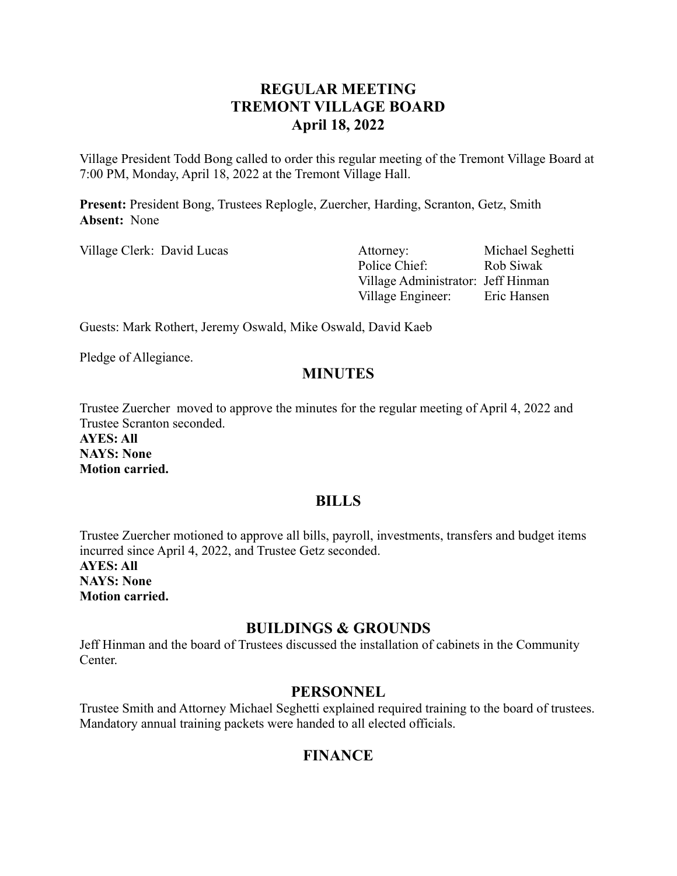# **REGULAR MEETING TREMONT VILLAGE BOARD April 18, 2022**

Village President Todd Bong called to order this regular meeting of the Tremont Village Board at 7:00 PM, Monday, April 18, 2022 at the Tremont Village Hall.

**Present:** President Bong, Trustees Replogle, Zuercher, Harding, Scranton, Getz, Smith **Absent:** None

Village Clerk: David Lucas Attorney: Michael Seghetti Police Chief: Rob Siwak Village Administrator: Jeff Hinman Village Engineer: Eric Hansen

Guests: Mark Rothert, Jeremy Oswald, Mike Oswald, David Kaeb

Pledge of Allegiance.

## **MINUTES**

Trustee Zuercher moved to approve the minutes for the regular meeting of April 4, 2022 and Trustee Scranton seconded.

**AYES: All NAYS: None Motion carried.**

## **BILLS**

Trustee Zuercher motioned to approve all bills, payroll, investments, transfers and budget items incurred since April 4, 2022, and Trustee Getz seconded.

**AYES: All NAYS: None Motion carried.**

## **BUILDINGS & GROUNDS**

Jeff Hinman and the board of Trustees discussed the installation of cabinets in the Community **Center** 

#### **PERSONNEL**

Trustee Smith and Attorney Michael Seghetti explained required training to the board of trustees. Mandatory annual training packets were handed to all elected officials.

# **FINANCE**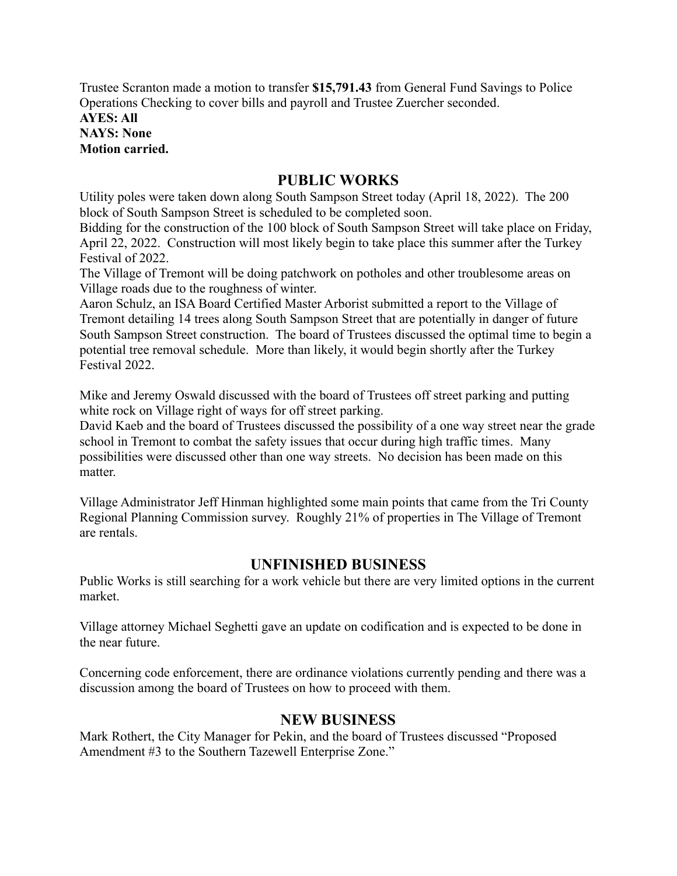Trustee Scranton made a motion to transfer **\$15,791.43** from General Fund Savings to Police Operations Checking to cover bills and payroll and Trustee Zuercher seconded. **AYES: All NAYS: None Motion carried.**

## **PUBLIC WORKS**

Utility poles were taken down along South Sampson Street today (April 18, 2022). The 200 block of South Sampson Street is scheduled to be completed soon.

Bidding for the construction of the 100 block of South Sampson Street will take place on Friday, April 22, 2022. Construction will most likely begin to take place this summer after the Turkey Festival of 2022.

The Village of Tremont will be doing patchwork on potholes and other troublesome areas on Village roads due to the roughness of winter.

Aaron Schulz, an ISA Board Certified Master Arborist submitted a report to the Village of Tremont detailing 14 trees along South Sampson Street that are potentially in danger of future South Sampson Street construction. The board of Trustees discussed the optimal time to begin a potential tree removal schedule. More than likely, it would begin shortly after the Turkey Festival 2022.

Mike and Jeremy Oswald discussed with the board of Trustees off street parking and putting white rock on Village right of ways for off street parking.

David Kaeb and the board of Trustees discussed the possibility of a one way street near the grade school in Tremont to combat the safety issues that occur during high traffic times. Many possibilities were discussed other than one way streets. No decision has been made on this matter.

Village Administrator Jeff Hinman highlighted some main points that came from the Tri County Regional Planning Commission survey. Roughly 21% of properties in The Village of Tremont are rentals.

## **UNFINISHED BUSINESS**

Public Works is still searching for a work vehicle but there are very limited options in the current market.

Village attorney Michael Seghetti gave an update on codification and is expected to be done in the near future.

Concerning code enforcement, there are ordinance violations currently pending and there was a discussion among the board of Trustees on how to proceed with them.

# **NEW BUSINESS**

Mark Rothert, the City Manager for Pekin, and the board of Trustees discussed "Proposed Amendment #3 to the Southern Tazewell Enterprise Zone."